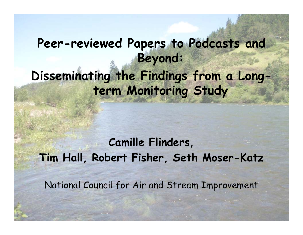# **Peer-reviewed Papers to Podcasts and Beyond:**  Disseminating the Findings from a Long**term Monitoring Study**

### **Camille Flinders,**   $T$ **im Hall, Robert Fisher, Seth Moser-Katz**

National Council for Air and Stream Improvement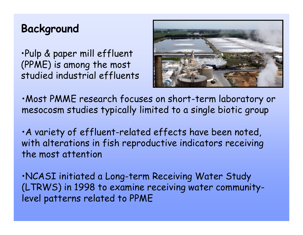#### **Background**

•Pulp & paper mill effluent (PPME) is among the most studied industrial effluents



•Most PMME research focuses on short-term laboratory or mesocosm studies typically limited to a single biotic group

 $\cdot$  A variety of effluent-related effects have been noted, with alterations in fish reproductive indicators receiving the most attention

•NCASI initiated a Long-term Receiving Water Study (LTRWS) in 1998 to examine receiving water communitylevel patterns related to PPME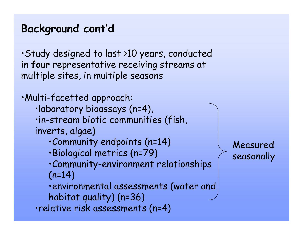### **Background cont'd**

•Study designed to last >10 years, conducted in **four** representative receiving streams at multiple sites, in multiple seasons

•Multi-facetted approach: •laboratory bioassays (n=4), •in-stream biotic communities (fish, inverts, algae) •Community endpoints (n=14) •Biological metrics (n=79)  $\cdot$ Community-environment relationships  $(n=14)$ •environmental assessments (water and habitat quality) (n=36) •relative risk assessments (n=4)

Measured seasonally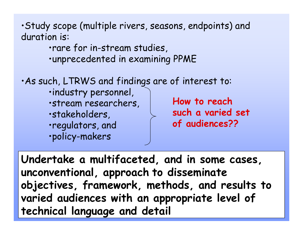•Study scope (multiple rivers, seasons, endpoints) and duration is:

> •rare for in-stream studies, •unprecedented in examining PPME

•As such, LTRWS and findings are of interest to:

•industry personnel, •stream researchers, **How to reach** •stakeholders, •regulators, and •policy-makers

**such a varied set of audiences??**

**Undertake a multifaceted and in some cases , , unconventional, approach to disseminate ob jectives, framework, methods, and results to varied audiences with an appropriate level of technical language and detail**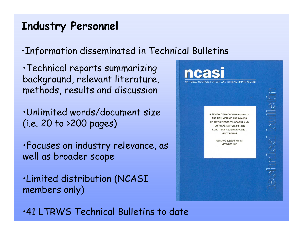#### **Industry Personnel**

•Information disseminated in Technical Bulletins

•Technical reports summarizing background, relevant literature, methods, results and discussion

•Unlimited words/document size (i.e. 20 to >200 pages)

•Focuses on industry relevance, as well as broader scope

•Limited distribution (NCASI members only)



•41 LTRWS Technical Bulletins to date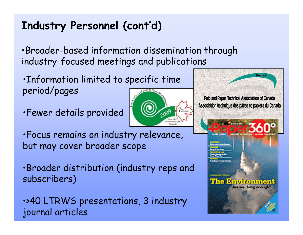## **Industry Personnel (cont'd)**

•Broader-based information dissemination through industry-focused meetings and publications

- •Information limited to specific time period/pages
- •Fewer details provided



- •Focus remains on industry relevance, but may cover broader scope
- •Broader distribution (industry reps and subscribers)
- •>40 LTRWS presentations, 3 industry journal articles

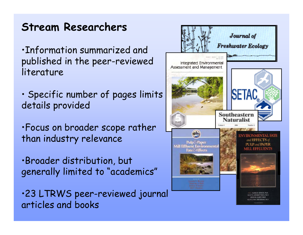#### **Stream Researchers**

•Information summarized and published in the peer-reviewed literature

- Specific number of pages limits details provided
- •Focus on broader sco pe rather than industry relevance
- ·Broader distribution, but generally limited to "academics"

·23 LTRWS peer-reviewed journal articles and books

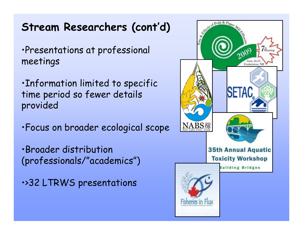#### **Stream Researchers (cont'd)**

•Presentations at professional meetings

•Information limited to specific time period so fewer details provided

•Focus on broader ecological scope

•Broader distribution (professionals/"academics")

•>32 LTRWS presentations

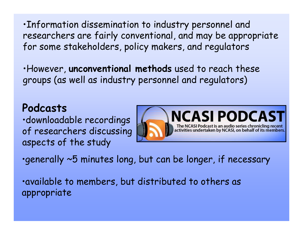•Information dissemination to industry personnel and researchers are fairly conventional, and may be appropriate for some stakeholders, policy makers, and regulators

•However, **unconventional methods** used to reach these groups (as well as industry personnel and regulators)

#### **Podcasts**

•downloadable recordings of researchers discussing aspects of the study



 $\cdot$ generally  $\sim$ 5 minutes long, but can be longer, if necessary

•available to members, but distributed to others as appropriate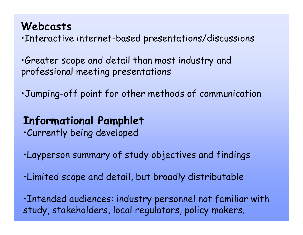#### **Webcasts**

•Interactive internet-based presentations/discussions

•Greater scope and detail than most industry and professional meeting presentations

•Jumping-off point for other methods of communication

#### **Informational Pamphlet**

•Currently being developed

- •Layperson summary of study objectives and findings
- •Limited scope and detail, but broadly distributable

•Intended audiences: industry personnel not familiar with study, stakeholders, local regulators, policy makers.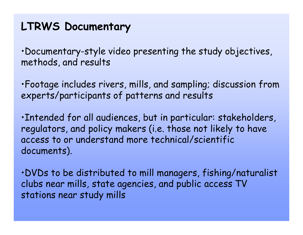#### **LTRWS Documentary**

•Documentary-style video presenting the study objectives, methods, and results

•Footage includes rivers, mills, and sampling; discussion from experts/participants of patterns and results

•Intended for all audiences, but in particular: stakeholders, regulators, and policy makers (i.e. those not likely to have access to or understand more technical/scientific documents).

•DVDs to be distributed to mill managers, fishing/naturalist clubs near mills, state agencies, and public access TV stations near study mills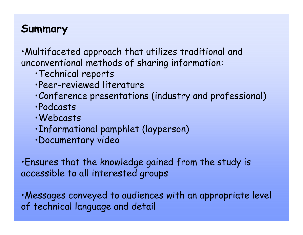#### **Summary**

•Multifaceted approach that utilizes traditional and unconventional methods of sharing information:

- •Technical reports
- •Peer-reviewed literature
- •Conference presentations (industry and professional)
- •Podcasts
- •Webcasts
- •Informational pamphlet (layperson)
- •Documentary video

•Ensures that the knowledge gained from the study is accessible to all interested groups

·Messages conveyed to audiences with an appropriate level of technical language and detail